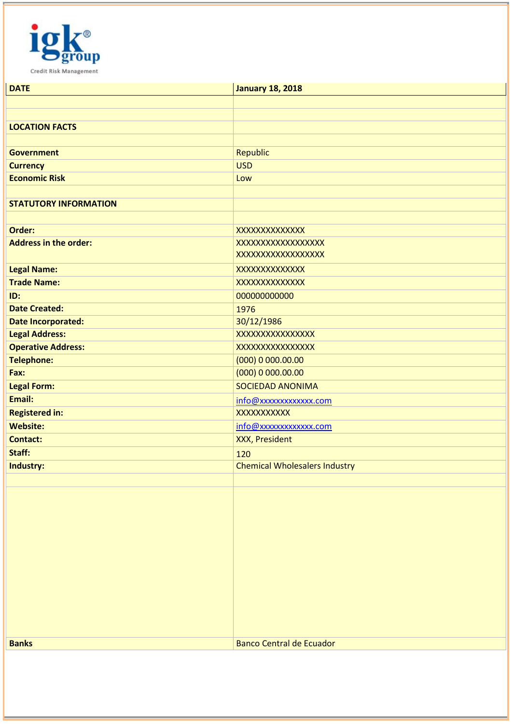

| <b>DATE</b>                  | <b>January 18, 2018</b>              |
|------------------------------|--------------------------------------|
|                              |                                      |
|                              |                                      |
| <b>LOCATION FACTS</b>        |                                      |
|                              |                                      |
| <b>Government</b>            | <b>Republic</b>                      |
| <b>Currency</b>              | <b>USD</b>                           |
| <b>Economic Risk</b>         | Low                                  |
|                              |                                      |
| <b>STATUTORY INFORMATION</b> |                                      |
|                              |                                      |
| Order:                       | XXXXXXXXXXXXX                        |
| <b>Address in the order:</b> | <b>XXXXXXXXXXXXXXXXXX</b>            |
|                              | <b>XXXXXXXXXXXXXXXXXX</b>            |
| <b>Legal Name:</b>           | XXXXXXXXXXXXX                        |
| <b>Trade Name:</b>           | XXXXXXXXXXXXX                        |
| ID:                          | 000000000000                         |
| <b>Date Created:</b>         | 1976                                 |
| <b>Date Incorporated:</b>    | 30/12/1986                           |
| <b>Legal Address:</b>        | <b>XXXXXXXXXXXXXXXX</b>              |
| <b>Operative Address:</b>    | <b>XXXXXXXXXXXXXXXX</b>              |
| <b>Telephone:</b>            | (000) 0 000.00.00                    |
| Fax:                         | (000) 0 000.00.00                    |
| <b>Legal Form:</b>           | <b>SOCIEDAD ANONIMA</b>              |
| Email:                       | info@xxxxxxxxxxxx.com                |
| <b>Registered in:</b>        | XXXXXXXXXX                           |
| <b>Website:</b>              | info@xxxxxxxxxxxx.com                |
| <b>Contact:</b>              | <b>XXX, President</b>                |
| Staff:                       | 120                                  |
| Industry:                    | <b>Chemical Wholesalers Industry</b> |
|                              |                                      |
|                              |                                      |
|                              |                                      |
|                              |                                      |
|                              |                                      |
|                              |                                      |
|                              |                                      |
|                              |                                      |
|                              |                                      |
|                              |                                      |
|                              |                                      |
|                              |                                      |
| <b>Banks</b>                 | <b>Banco Central de Ecuador</b>      |
|                              |                                      |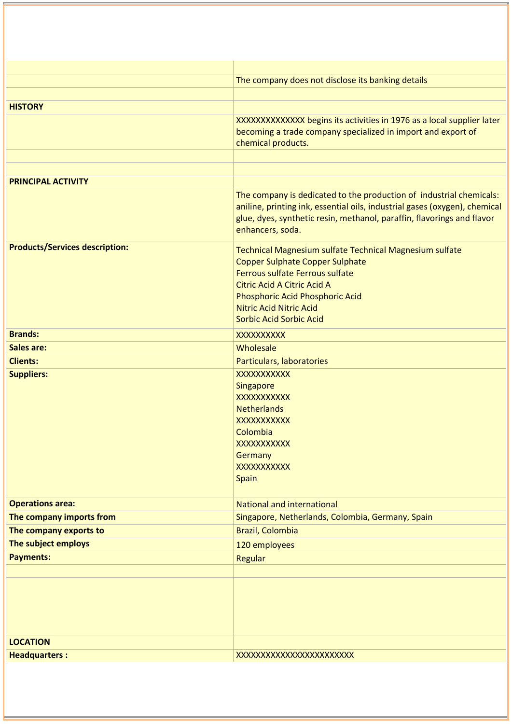|                                       | The company does not disclose its banking details                                                                                                                        |
|---------------------------------------|--------------------------------------------------------------------------------------------------------------------------------------------------------------------------|
|                                       |                                                                                                                                                                          |
| <b>HISTORY</b>                        |                                                                                                                                                                          |
|                                       | XXXXXXXXXXXXX begins its activities in 1976 as a local supplier later                                                                                                    |
|                                       | becoming a trade company specialized in import and export of                                                                                                             |
|                                       | chemical products.                                                                                                                                                       |
|                                       |                                                                                                                                                                          |
| <b>PRINCIPAL ACTIVITY</b>             |                                                                                                                                                                          |
|                                       | The company is dedicated to the production of industrial chemicals:                                                                                                      |
|                                       | aniline, printing ink, essential oils, industrial gases (oxygen), chemical<br>glue, dyes, synthetic resin, methanol, paraffin, flavorings and flavor<br>enhancers, soda. |
| <b>Products/Services description:</b> | <b>Technical Magnesium sulfate Technical Magnesium sulfate</b>                                                                                                           |
|                                       | <b>Copper Sulphate Copper Sulphate</b>                                                                                                                                   |
|                                       | Ferrous sulfate Ferrous sulfate                                                                                                                                          |
|                                       | <b>Citric Acid A Citric Acid A</b><br>Phosphoric Acid Phosphoric Acid                                                                                                    |
|                                       | <b>Nitric Acid Nitric Acid</b>                                                                                                                                           |
|                                       | <b>Sorbic Acid Sorbic Acid</b>                                                                                                                                           |
| <b>Brands:</b>                        | XXXXXXXXX                                                                                                                                                                |
| <b>Sales are:</b>                     | Wholesale                                                                                                                                                                |
| <b>Clients:</b>                       | Particulars, laboratories                                                                                                                                                |
| <b>Suppliers:</b>                     | XXXXXXXXXX                                                                                                                                                               |
|                                       | Singapore                                                                                                                                                                |
|                                       | XXXXXXXXXX                                                                                                                                                               |
|                                       | <b>Netherlands</b><br><b>XXXXXXXXXXX</b>                                                                                                                                 |
|                                       | Colombia                                                                                                                                                                 |
|                                       | XXXXXXXXXX                                                                                                                                                               |
|                                       | Germany                                                                                                                                                                  |
|                                       | XXXXXXXXXX                                                                                                                                                               |
|                                       | <b>Spain</b>                                                                                                                                                             |
| <b>Operations area:</b>               | <b>National and international</b>                                                                                                                                        |
| The company imports from              | Singapore, Netherlands, Colombia, Germany, Spain                                                                                                                         |
| The company exports to                | Brazil, Colombia                                                                                                                                                         |
| The subject employs                   | 120 employees                                                                                                                                                            |
| <b>Payments:</b>                      | Regular                                                                                                                                                                  |
|                                       |                                                                                                                                                                          |
|                                       |                                                                                                                                                                          |
|                                       |                                                                                                                                                                          |
|                                       |                                                                                                                                                                          |
|                                       |                                                                                                                                                                          |
| <b>LOCATION</b>                       |                                                                                                                                                                          |
| <b>Headquarters:</b>                  | XXXXXXXXXXXXXXXXXXXXXXX                                                                                                                                                  |
|                                       |                                                                                                                                                                          |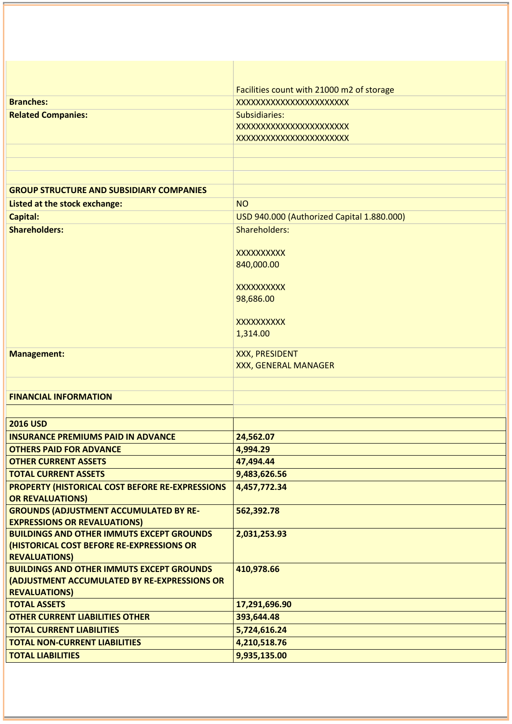| Facilities count with 21000 m2 of storage                                                                      |  |
|----------------------------------------------------------------------------------------------------------------|--|
| <b>Branches:</b><br>XXXXXXXXXXXXXXXXXXXXXXX                                                                    |  |
| <b>Related Companies:</b><br>Subsidiaries:                                                                     |  |
| XXXXXXXXXXXXXXXXXXXXXXX                                                                                        |  |
| XXXXXXXXXXXXXXXXXXXXXX                                                                                         |  |
|                                                                                                                |  |
|                                                                                                                |  |
|                                                                                                                |  |
| <b>GROUP STRUCTURE AND SUBSIDIARY COMPANIES</b>                                                                |  |
| Listed at the stock exchange:<br><b>NO</b>                                                                     |  |
| <b>Capital:</b><br>USD 940.000 (Authorized Capital 1.880.000)                                                  |  |
| <b>Shareholders:</b><br>Shareholders:                                                                          |  |
| <b>XXXXXXXXXX</b>                                                                                              |  |
| 840,000.00                                                                                                     |  |
|                                                                                                                |  |
| <b>XXXXXXXXXX</b>                                                                                              |  |
| 98,686.00                                                                                                      |  |
|                                                                                                                |  |
| <b>XXXXXXXXXX</b><br>1,314.00                                                                                  |  |
|                                                                                                                |  |
| <b>XXX, PRESIDENT</b><br><b>Management:</b>                                                                    |  |
| XXX, GENERAL MANAGER                                                                                           |  |
|                                                                                                                |  |
| <b>FINANCIAL INFORMATION</b>                                                                                   |  |
|                                                                                                                |  |
| <b>2016 USD</b>                                                                                                |  |
| <b>INSURANCE PREMIUMS PAID IN ADVANCE</b><br>24,562.07                                                         |  |
| 4,994.29<br><b>OTHERS PAID FOR ADVANCE</b>                                                                     |  |
| 47,494.44<br><b>OTHER CURRENT ASSETS</b>                                                                       |  |
| <b>TOTAL CURRENT ASSETS</b><br>9,483,626.56<br>PROPERTY (HISTORICAL COST BEFORE RE-EXPRESSIONS<br>4,457,772.34 |  |
| <b>OR REVALUATIONS)</b>                                                                                        |  |
| <b>GROUNDS (ADJUSTMENT ACCUMULATED BY RE-</b><br>562,392.78                                                    |  |
| <b>EXPRESSIONS OR REVALUATIONS)</b>                                                                            |  |
| <b>BUILDINGS AND OTHER IMMUTS EXCEPT GROUNDS</b><br>2,031,253.93                                               |  |
| (HISTORICAL COST BEFORE RE-EXPRESSIONS OR                                                                      |  |
| <b>REVALUATIONS)</b><br><b>BUILDINGS AND OTHER IMMUTS EXCEPT GROUNDS</b>                                       |  |
| 410,978.66<br>(ADJUSTMENT ACCUMULATED BY RE-EXPRESSIONS OR                                                     |  |
| <b>REVALUATIONS)</b>                                                                                           |  |
| 17,291,696.90<br><b>TOTAL ASSETS</b>                                                                           |  |
| <b>OTHER CURRENT LIABILITIES OTHER</b><br>393,644.48                                                           |  |
| <b>TOTAL CURRENT LIABILITIES</b><br>5,724,616.24                                                               |  |
| <b>TOTAL NON-CURRENT LIABILITIES</b><br>4,210,518.76                                                           |  |
| 9,935,135.00                                                                                                   |  |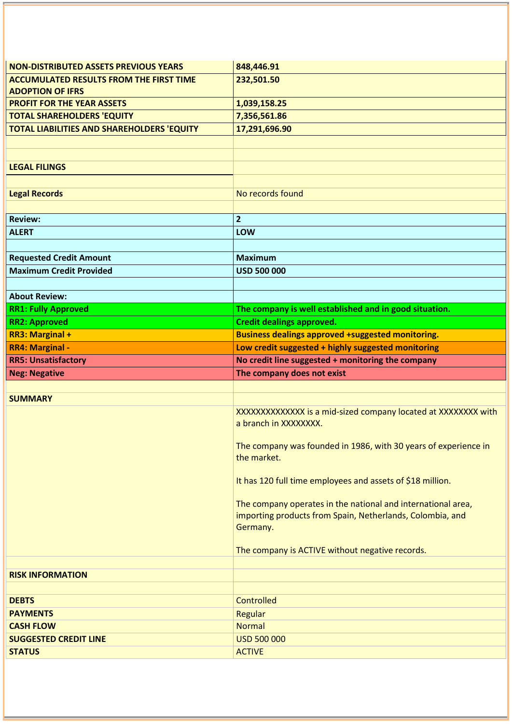| <b>NON-DISTRIBUTED ASSETS PREVIOUS YEARS</b>      | 848,446.91                                                                     |
|---------------------------------------------------|--------------------------------------------------------------------------------|
| <b>ACCUMULATED RESULTS FROM THE FIRST TIME</b>    | 232,501.50                                                                     |
| <b>ADOPTION OF IFRS</b>                           |                                                                                |
| <b>PROFIT FOR THE YEAR ASSETS</b>                 | 1,039,158.25                                                                   |
| <b>TOTAL SHAREHOLDERS 'EQUITY</b>                 | 7,356,561.86                                                                   |
| <b>TOTAL LIABILITIES AND SHAREHOLDERS 'EQUITY</b> | 17,291,696.90                                                                  |
|                                                   |                                                                                |
|                                                   |                                                                                |
| <b>LEGAL FILINGS</b>                              |                                                                                |
|                                                   |                                                                                |
| <b>Legal Records</b>                              | No records found                                                               |
|                                                   |                                                                                |
| <b>Review:</b>                                    | $\overline{2}$                                                                 |
| <b>ALERT</b>                                      | LOW                                                                            |
| <b>Requested Credit Amount</b>                    | <b>Maximum</b>                                                                 |
| <b>Maximum Credit Provided</b>                    | <b>USD 500 000</b>                                                             |
|                                                   |                                                                                |
| <b>About Review:</b>                              |                                                                                |
| <b>RR1: Fully Approved</b>                        | The company is well established and in good situation.                         |
| <b>RR2: Approved</b>                              | <b>Credit dealings approved.</b>                                               |
| <b>RR3: Marginal +</b>                            | <b>Business dealings approved +suggested monitoring.</b>                       |
| <b>RR4: Marginal -</b>                            | Low credit suggested + highly suggested monitoring                             |
|                                                   |                                                                                |
| <b>RR5: Unsatisfactory</b>                        | No credit line suggested + monitoring the company                              |
| <b>Neg: Negative</b>                              | The company does not exist                                                     |
|                                                   |                                                                                |
| <b>SUMMARY</b>                                    |                                                                                |
|                                                   | XXXXXXXXXXXXX is a mid-sized company located at XXXXXXXX with                  |
|                                                   | a branch in XXXXXXXX.                                                          |
|                                                   |                                                                                |
|                                                   | The company was founded in 1986, with 30 years of experience in<br>the market. |
|                                                   |                                                                                |
|                                                   | It has 120 full time employees and assets of \$18 million.                     |
|                                                   |                                                                                |
|                                                   | The company operates in the national and international area,                   |
|                                                   | importing products from Spain, Netherlands, Colombia, and                      |
|                                                   | Germany.                                                                       |
|                                                   | The company is ACTIVE without negative records.                                |
|                                                   |                                                                                |
| <b>RISK INFORMATION</b>                           |                                                                                |
|                                                   |                                                                                |
| <b>DEBTS</b>                                      | <b>Controlled</b>                                                              |
| <b>PAYMENTS</b>                                   | Regular                                                                        |
| <b>CASH FLOW</b>                                  | <b>Normal</b>                                                                  |
| <b>SUGGESTED CREDIT LINE</b><br><b>STATUS</b>     | <b>USD 500 000</b><br><b>ACTIVE</b>                                            |